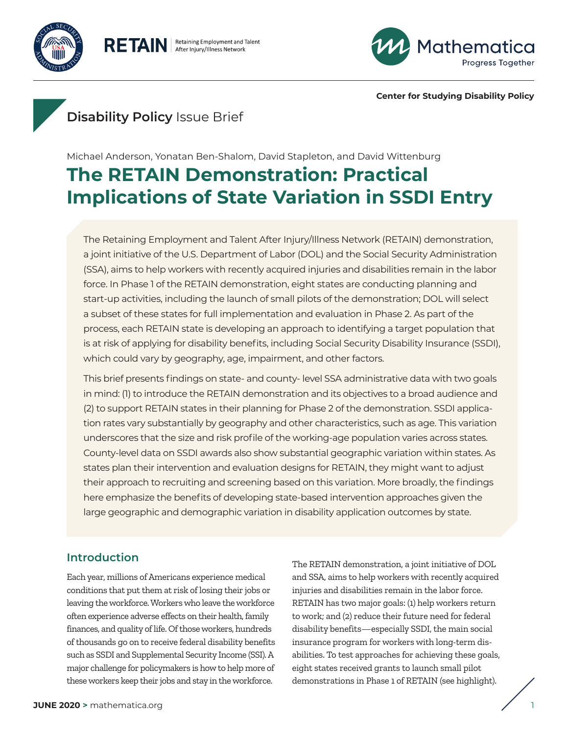

RETAIN | Retaining Employment and Talent



**Center for Studying Disability Policy**

# **Disability Policy** Issue Brief

Michael Anderson, Yonatan Ben-Shalom, David Stapleton, and David Wittenburg

# **The RETAIN Demonstration: Practical Implications of State Variation in SSDI Entry**

The Retaining Employment and Talent After Injury/Illness Network (RETAIN) demonstration, a joint initiative of the U.S. Department of Labor (DOL) and the Social Security Administration (SSA), aims to help workers with recently acquired injuries and disabilities remain in the labor force. In Phase 1 of the RETAIN demonstration, eight states are conducting planning and start-up activities, including the launch of small pilots of the demonstration; DOL will select a subset of these states for full implementation and evaluation in Phase 2. As part of the process, each RETAIN state is developing an approach to identifying a target population that is at risk of applying for disability benefits, including Social Security Disability Insurance (SSDI), which could vary by geography, age, impairment, and other factors.

This brief presents findings on state- and county- level SSA administrative data with two goals in mind: (1) to introduce the RETAIN demonstration and its objectives to a broad audience and (2) to support RETAIN states in their planning for Phase 2 of the demonstration. SSDI application rates vary substantially by geography and other characteristics, such as age. This variation underscores that the size and risk profile of the working-age population varies across states. County-level data on SSDI awards also show substantial geographic variation within states. As states plan their intervention and evaluation designs for RETAIN, they might want to adjust their approach to recruiting and screening based on this variation. More broadly, the findings here emphasize the benefits of developing state-based intervention approaches given the large geographic and demographic variation in disability application outcomes by state.

# **Introduction**

Each year, millions of Americans experience medical conditions that put them at risk of losing their jobs or leaving the workforce. Workers who leave the workforce often experience adverse effects on their health, family finances, and quality of life. Of those workers, hundreds of thousands go on to receive federal disability benefits such as SSDI and Supplemental Security Income (SSI). A major challenge for policymakers is how to help more of these workers keep their jobs and stay in the workforce.

The RETAIN demonstration, a joint initiative of DOL and SSA, aims to help workers with recently acquired injuries and disabilities remain in the labor force. RETAIN has two major goals: (1) help workers return to work; and (2) reduce their future need for federal disability benefits—especially SSDI, the main social insurance program for workers with long-term disabilities. To test approaches for achieving these goals, eight states received grants to launch small pilot demonstrations in Phase 1 of RETAIN (see highlight).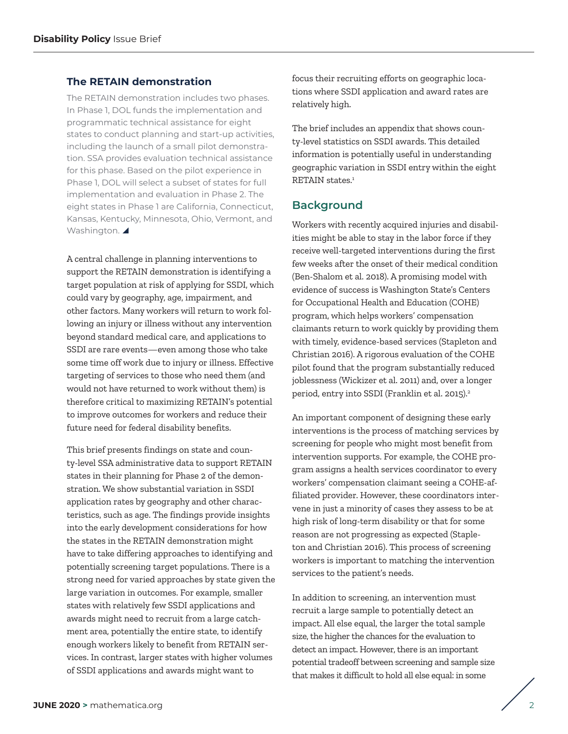## **The RETAIN demonstration**

The RETAIN demonstration includes two phases. In Phase 1, DOL funds the implementation and programmatic technical assistance for eight states to conduct planning and start-up activities, including the launch of a small pilot demonstration. SSA provides evaluation technical assistance for this phase. Based on the pilot experience in Phase 1, DOL will select a subset of states for full implementation and evaluation in Phase 2. The eight states in Phase 1 are California, Connecticut, Kansas, Kentucky, Minnesota, Ohio, Vermont, and Washington.

A central challenge in planning interventions to support the RETAIN demonstration is identifying a target population at risk of applying for SSDI, which could vary by geography, age, impairment, and other factors. Many workers will return to work following an injury or illness without any intervention beyond standard medical care, and applications to SSDI are rare events—even among those who take some time off work due to injury or illness. Effective targeting of services to those who need them (and would not have returned to work without them) is therefore critical to maximizing RETAIN's potential to improve outcomes for workers and reduce their future need for federal disability benefits.

This brief presents findings on state and county-level SSA administrative data to support RETAIN states in their planning for Phase 2 of the demonstration. We show substantial variation in SSDI application rates by geography and other characteristics, such as age. The findings provide insights into the early development considerations for how the states in the RETAIN demonstration might have to take differing approaches to identifying and potentially screening target populations. There is a strong need for varied approaches by state given the large variation in outcomes. For example, smaller states with relatively few SSDI applications and awards might need to recruit from a large catchment area, potentially the entire state, to identify enough workers likely to benefit from RETAIN services. In contrast, larger states with higher volumes of SSDI applications and awards might want to

focus their recruiting efforts on geographic locations where SSDI application and award rates are relatively high.

The brief includes an appendix that shows county-level statistics on SSDI awards. This detailed information is potentially useful in understanding geographic variation in SSDI entry within the eight RETAIN states.<sup>[1](#page-9-0)</sup>

## **Background**

Workers with recently acquired injuries and disabilities might be able to stay in the labor force if they receive well-targeted interventions during the first few weeks after the onset of their medical condition (Ben-Shalom et al. 2018). A promising model with evidence of success is Washington State's Centers for Occupational Health and Education (COHE) program, which helps workers' compensation claimants return to work quickly by providing them with timely, evidence-based services (Stapleton and Christian 2016). A rigorous evaluation of the COHE pilot found that the program substantially reduced joblessness (Wickizer et al. 2011) and, over a longer period, entry into SSDI (Franklin et al. 2015).<sup>2</sup>

An important component of designing these early interventions is the process of matching services by screening for people who might most benefit from intervention supports. For example, the COHE program assigns a health services coordinator to every workers' compensation claimant seeing a COHE-affiliated provider. However, these coordinators intervene in just a minority of cases they assess to be at high risk of long-term disability or that for some reason are not progressing as expected (Stapleton and Christian 2016). This process of screening workers is important to matching the intervention services to the patient's needs.

In addition to screening, an intervention must recruit a large sample to potentially detect an impact. All else equal, the larger the total sample size, the higher the chances for the evaluation to detect an impact. However, there is an important potential tradeoff between screening and sample size that makes it difficult to hold all else equal: in some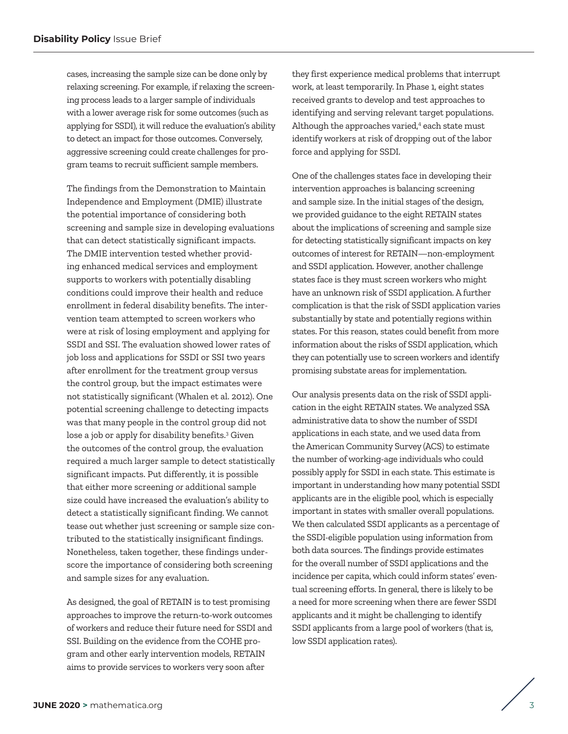cases, increasing the sample size can be done only by relaxing screening. For example, if relaxing the screening process leads to a larger sample of individuals with a lower average risk for some outcomes (such as applying for SSDI), it will reduce the evaluation's ability to detect an impact for those outcomes. Conversely, aggressive screening could create challenges for program teams to recruit sufficient sample members.

The findings from the Demonstration to Maintain Independence and Employment (DMIE) illustrate the potential importance of considering both screening and sample size in developing evaluations that can detect statistically significant impacts. The DMIE intervention tested whether providing enhanced medical services and employment supports to workers with potentially disabling conditions could improve their health and reduce enrollment in federal disability benefits. The intervention team attempted to screen workers who were at risk of losing employment and applying for SSDI and SSI. The evaluation showed lower rates of job loss and applications for SSDI or SSI two years after enrollment for the treatment group versus the control group, but the impact estimates were not statistically significant (Whalen et al. 2012). One potential screening challenge to detecting impacts was that many people in the control group did not lose a job or apply for disability benefits.<sup>[3](#page-9-0)</sup> Given the outcomes of the control group, the evaluation required a much larger sample to detect statistically significant impacts. Put differently, it is possible that either more screening *or* additional sample size could have increased the evaluation's ability to detect a statistically significant finding. We cannot tease out whether just screening or sample size contributed to the statistically insignificant findings. Nonetheless, taken together, these findings underscore the importance of considering both screening and sample sizes for any evaluation.

As designed, the goal of RETAIN is to test promising approaches to improve the return-to-work outcomes of workers and reduce their future need for SSDI and SSI. Building on the evidence from the COHE program and other early intervention models, RETAIN aims to provide services to workers very soon after

they first experience medical problems that interrupt work, at least temporarily. In Phase 1, eight states received grants to develop and test approaches to identifying and serving relevant target populations. Although the approaches varied,<sup>4</sup> each state must identify workers at risk of dropping out of the labor force and applying for SSDI.

One of the challenges states face in developing their intervention approaches is balancing screening and sample size. In the initial stages of the design, we provided guidance to the eight RETAIN states about the implications of screening and sample size for detecting statistically significant impacts on key outcomes of interest for RETAIN—non-employment and SSDI application. However, another challenge states face is they must screen workers who might have an unknown risk of SSDI application. A further complication is that the risk of SSDI application varies substantially by state and potentially regions within states. For this reason, states could benefit from more information about the risks of SSDI application, which they can potentially use to screen workers and identify promising substate areas for implementation.

Our analysis presents data on the risk of SSDI application in the eight RETAIN states. We analyzed SSA administrative data to show the number of SSDI applications in each state, and we used data from the American Community Survey (ACS) to estimate the number of working-age individuals who could possibly apply for SSDI in each state. This estimate is important in understanding how many potential SSDI applicants are in the eligible pool, which is especially important in states with smaller overall populations. We then calculated SSDI applicants as a percentage of the SSDI-eligible population using information from both data sources. The findings provide estimates for the overall number of SSDI applications and the incidence per capita, which could inform states' eventual screening efforts. In general, there is likely to be a need for more screening when there are fewer SSDI applicants and it might be challenging to identify SSDI applicants from a large pool of workers (that is, low SSDI application rates).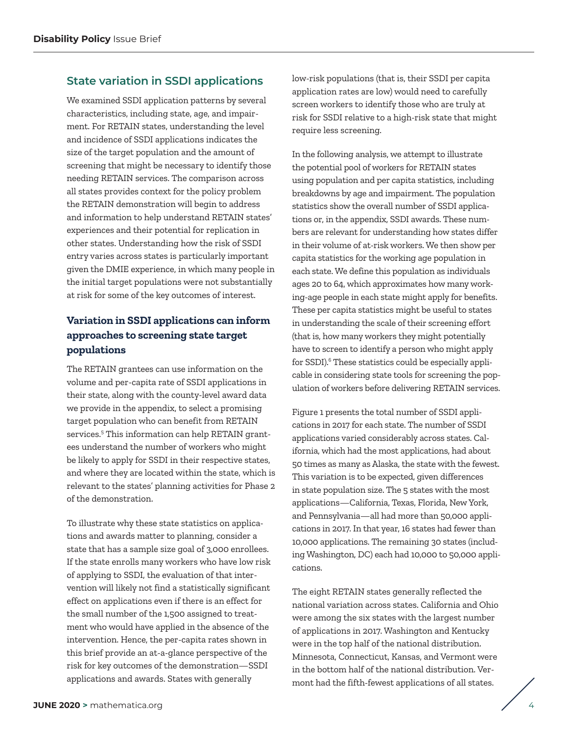## **State variation in SSDI applications**

We examined SSDI application patterns by several characteristics, including state, age, and impairment. For RETAIN states, understanding the level and incidence of SSDI applications indicates the size of the target population and the amount of screening that might be necessary to identify those needing RETAIN services. The comparison across all states provides context for the policy problem the RETAIN demonstration will begin to address and information to help understand RETAIN states' experiences and their potential for replication in other states. Understanding how the risk of SSDI entry varies across states is particularly important given the DMIE experience, in which many people in the initial target populations were not substantially at risk for some of the key outcomes of interest.

## **Variation in SSDI applications can inform approaches to screening state target populations**

The RETAIN grantees can use information on the volume and per-capita rate of SSDI applications in their state, along with the county-level award data we provide in the appendix, to select a promising target population who can benefit from RETAIN services.[5](#page-10-0) This information can help RETAIN grantees understand the number of workers who might be likely to apply for SSDI in their respective states, and where they are located within the state, which is relevant to the states' planning activities for Phase 2 of the demonstration.

To illustrate why these state statistics on applications and awards matter to planning, consider a state that has a sample size goal of 3,000 enrollees. If the state enrolls many workers who have low risk of applying to SSDI, the evaluation of that intervention will likely not find a statistically significant effect on applications even if there is an effect for the small number of the 1,500 assigned to treatment who would have applied in the absence of the intervention. Hence, the per-capita rates shown in this brief provide an at-a-glance perspective of the risk for key outcomes of the demonstration—SSDI applications and awards. States with generally

low-risk populations (that is, their SSDI per capita application rates are low) would need to carefully screen workers to identify those who are truly at risk for SSDI relative to a high-risk state that might require less screening.

In the following analysis, we attempt to illustrate the potential pool of workers for RETAIN states using population and per capita statistics, including breakdowns by age and impairment. The population statistics show the overall number of SSDI applications or, in the appendix, SSDI awards. These numbers are relevant for understanding how states differ in their volume of at-risk workers. We then show per capita statistics for the working age population in each state. We define this population as individuals ages 20 to 64, which approximates how many working-age people in each state might apply for benefits. These per capita statistics might be useful to states in understanding the scale of their screening effort (that is, how many workers they might potentially have to screen to identify a person who might apply for SSDI)[.6](#page-10-0) These statistics could be especially applicable in considering state tools for screening the population of workers before delivering RETAIN services.

Figure 1 presents the total number of SSDI applications in 2017 for each state. The number of SSDI applications varied considerably across states. California, which had the most applications, had about 50 times as many as Alaska, the state with the fewest. This variation is to be expected, given differences in state population size. The 5 states with the most applications—California, Texas, Florida, New York, and Pennsylvania—all had more than 50,000 applications in 2017. In that year, 16 states had fewer than 10,000 applications. The remaining 30 states (including Washington, DC) each had 10,000 to 50,000 applications.

The eight RETAIN states generally reflected the national variation across states. California and Ohio were among the six states with the largest number of applications in 2017. Washington and Kentucky were in the top half of the national distribution. Minnesota, Connecticut, Kansas, and Vermont were in the bottom half of the national distribution. Vermont had the fifth-fewest applications of all states.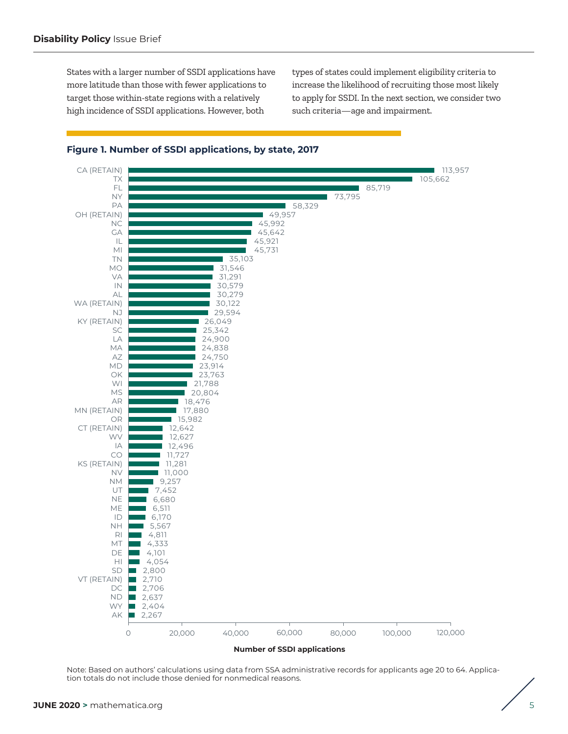States with a larger number of SSDI applications have more latitude than those with fewer applications to target those within-state regions with a relatively high incidence of SSDI applications. However, both

types of states could implement eligibility criteria to increase the likelihood of recruiting those most likely to apply for SSDI. In the next section, we consider two such criteria—age and impairment.



#### **Figure 1. Number of SSDI applications, by state, 2017**

Note: Based on authors' calculations using data from SSA administrative records for applicants age 20 to 64. Application totals do not include those denied for nonmedical reasons.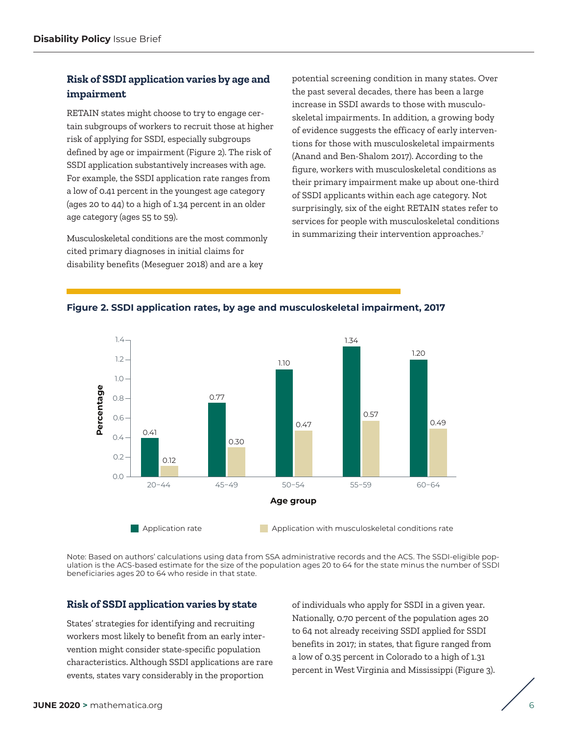## **Risk of SSDI application varies by age and impairment**

RETAIN states might choose to try to engage certain subgroups of workers to recruit those at higher risk of applying for SSDI, especially subgroups defined by age or impairment (Figure 2). The risk of SSDI application substantively increases with age. For example, the SSDI application rate ranges from a low of 0.41 percent in the youngest age category (ages 20 to 44) to a high of 1.34 percent in an older age category (ages 55 to 59).

Musculoskeletal conditions are the most commonly cited primary diagnoses in initial claims for disability benefits (Meseguer 2018) and are a key

potential screening condition in many states. Over the past several decades, there has been a large increase in SSDI awards to those with musculoskeletal impairments. In addition, a growing body of evidence suggests the efficacy of early interventions for those with musculoskeletal impairments (Anand and Ben-Shalom 2017). According to the figure, workers with musculoskeletal conditions as their primary impairment make up about one-third of SSDI applicants within each age category. Not surprisingly, six of the eight RETAIN states refer to services for people with musculoskeletal conditions in summarizing their intervention approaches.[7](#page-10-0)



#### **Figure 2. SSDI application rates, by age and musculoskeletal impairment, 2017**

Note: Based on authors' calculations using data from SSA administrative records and the ACS. The SSDI-eligible population is the ACS-based estimate for the size of the population ages 20 to 64 for the state minus the number of SSDI beneficiaries ages 20 to 64 who reside in that state.

#### **Risk of SSDI application varies by state**

States' strategies for identifying and recruiting workers most likely to benefit from an early intervention might consider state-specific population characteristics. Although SSDI applications are rare events, states vary considerably in the proportion

of individuals who apply for SSDI in a given year. Nationally, 0.70 percent of the population ages 20 to 64 not already receiving SSDI applied for SSDI benefits in 2017; in states, that figure ranged from a low of 0.35 percent in Colorado to a high of 1.31 percent in West Virginia and Mississippi (Figure 3).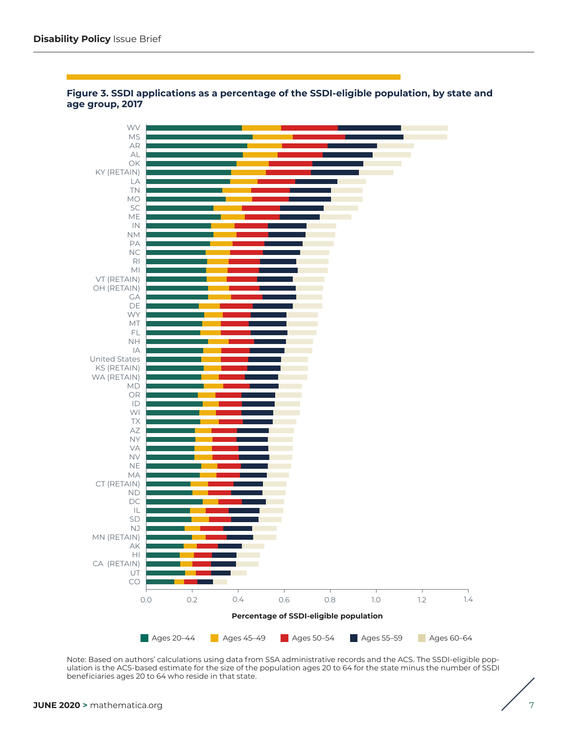

#### **Figure 3. SSDI applications as a percentage of the SSDI-eligible population, by state and age group, 2017**

Note: Based on authors' calculations using data from SSA administrative records and the ACS. The SSDI-eligible population is the ACS-based estimate for the size of the population ages 20 to 64 for the state minus the number of SSDI beneficiaries ages 20 to 64 who reside in that state.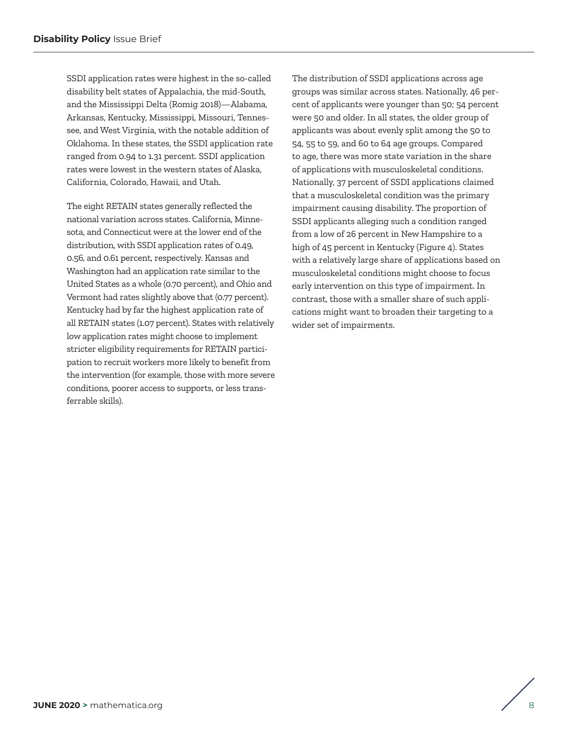SSDI application rates were highest in the so-called disability belt states of Appalachia, the mid-South, and the Mississippi Delta (Romig 2018)—Alabama, Arkansas, Kentucky, Mississippi, Missouri, Tennessee, and West Virginia, with the notable addition of Oklahoma. In these states, the SSDI application rate ranged from 0.94 to 1.31 percent. SSDI application rates were lowest in the western states of Alaska, California, Colorado, Hawaii, and Utah.

The eight RETAIN states generally reflected the national variation across states. California, Minnesota, and Connecticut were at the lower end of the distribution, with SSDI application rates of 0.49, 0.56, and 0.61 percent, respectively. Kansas and Washington had an application rate similar to the United States as a whole (0.70 percent), and Ohio and Vermont had rates slightly above that (0.77 percent). Kentucky had by far the highest application rate of all RETAIN states (1.07 percent). States with relatively low application rates might choose to implement stricter eligibility requirements for RETAIN participation to recruit workers more likely to benefit from the intervention (for example, those with more severe conditions, poorer access to supports, or less transferrable skills).

The distribution of SSDI applications across age groups was similar across states. Nationally, 46 percent of applicants were younger than 50; 54 percent were 50 and older. In all states, the older group of applicants was about evenly split among the 50 to 54, 55 to 59, and 60 to 64 age groups. Compared to age, there was more state variation in the share of applications with musculoskeletal conditions. Nationally, 37 percent of SSDI applications claimed that a musculoskeletal condition was the primary impairment causing disability. The proportion of SSDI applicants alleging such a condition ranged from a low of 26 percent in New Hampshire to a high of 45 percent in Kentucky (Figure 4). States with a relatively large share of applications based on musculoskeletal conditions might choose to focus early intervention on this type of impairment. In contrast, those with a smaller share of such applications might want to broaden their targeting to a wider set of impairments.

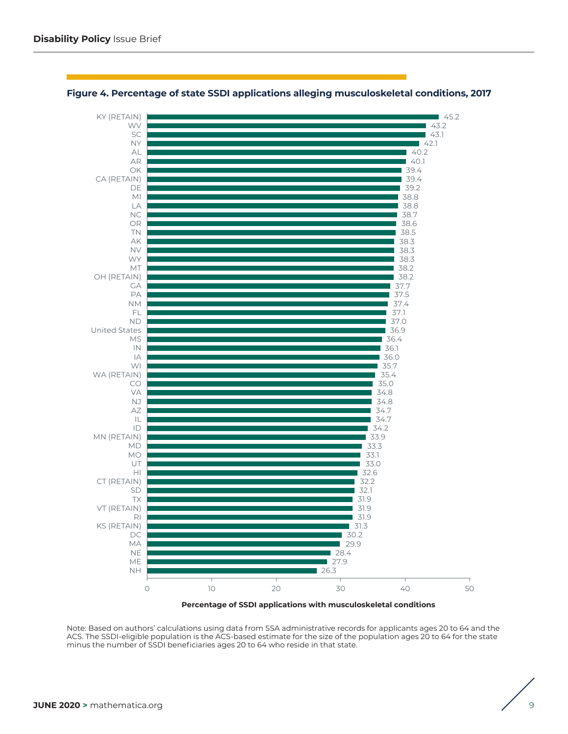

#### **Figure 4. Percentage of state SSDI applications alleging musculoskeletal conditions, 2017**

Note: Based on authors' calculations using data from SSA administrative records for applicants ages 20 to 64 and the ACS. The SSDI-eligible population is the ACS-based estimate for the size of the population ages 20 to 64 for the state minus the number of SSDI beneficiaries ages 20 to 64 who reside in that state.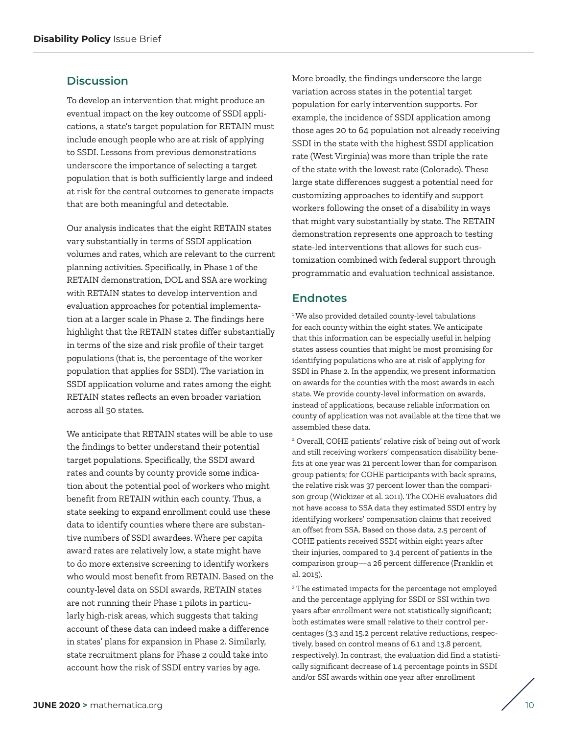## <span id="page-9-0"></span>**Discussion**

To develop an intervention that might produce an eventual impact on the key outcome of SSDI applications, a state's target population for RETAIN must include enough people who are at risk of applying to SSDI. Lessons from previous demonstrations underscore the importance of selecting a target population that is both sufficiently large and indeed at risk for the central outcomes to generate impacts that are both meaningful and detectable.

Our analysis indicates that the eight RETAIN states vary substantially in terms of SSDI application volumes and rates, which are relevant to the current planning activities. Specifically, in Phase 1 of the RETAIN demonstration, DOL and SSA are working with RETAIN states to develop intervention and evaluation approaches for potential implementation at a larger scale in Phase 2. The findings here highlight that the RETAIN states differ substantially in terms of the size and risk profile of their target populations (that is, the percentage of the worker population that applies for SSDI). The variation in SSDI application volume and rates among the eight RETAIN states reflects an even broader variation across all 50 states.

We anticipate that RETAIN states will be able to use the findings to better understand their potential target populations. Specifically, the SSDI award rates and counts by county provide some indication about the potential pool of workers who might benefit from RETAIN within each county. Thus, a state seeking to expand enrollment could use these data to identify counties where there are substantive numbers of SSDI awardees. Where per capita award rates are relatively low, a state might have to do more extensive screening to identify workers who would most benefit from RETAIN. Based on the county-level data on SSDI awards, RETAIN states are not running their Phase 1 pilots in particularly high-risk areas, which suggests that taking account of these data can indeed make a difference in states' plans for expansion in Phase 2. Similarly, state recruitment plans for Phase 2 could take into account how the risk of SSDI entry varies by age.

More broadly, the findings underscore the large variation across states in the potential target population for early intervention supports. For example, the incidence of SSDI application among those ages 20 to 64 population not already receiving SSDI in the state with the highest SSDI application rate (West Virginia) was more than triple the rate of the state with the lowest rate (Colorado). These large state differences suggest a potential need for customizing approaches to identify and support workers following the onset of a disability in ways that might vary substantially by state. The RETAIN demonstration represents one approach to testing state-led interventions that allows for such customization combined with federal support through programmatic and evaluation technical assistance.

## **Endnotes**

<sup>1</sup>We also provided detailed county-level tabulations for each county within the eight states. We anticipate that this information can be especially useful in helping states assess counties that might be most promising for identifying populations who are at risk of applying for SSDI in Phase 2. In the appendix, we present information on awards for the counties with the most awards in each state. We provide county-level information on awards, instead of applications, because reliable information on county of application was not available at the time that we assembled these data.

2 Overall, COHE patients' relative risk of being out of work and still receiving workers' compensation disability benefits at one year was 21 percent lower than for comparison group patients; for COHE participants with back sprains, the relative risk was 37 percent lower than the comparison group (Wickizer et al. 2011). The COHE evaluators did not have access to SSA data they estimated SSDI entry by identifying workers' compensation claims that received an offset from SSA. Based on those data, 2.5 percent of COHE patients received SSDI within eight years after their injuries, compared to 3.4 percent of patients in the comparison group—a 26 percent difference (Franklin et al. 2015).

<sup>3</sup> The estimated impacts for the percentage not employed and the percentage applying for SSDI or SSI within two years after enrollment were not statistically significant; both estimates were small relative to their control percentages (3.3 and 15.2 percent relative reductions, respectively, based on control means of 6.1 and 13.8 percent, respectively). In contrast, the evaluation did find a statistically significant decrease of 1.4 percentage points in SSDI and/or SSI awards within one year after enrollment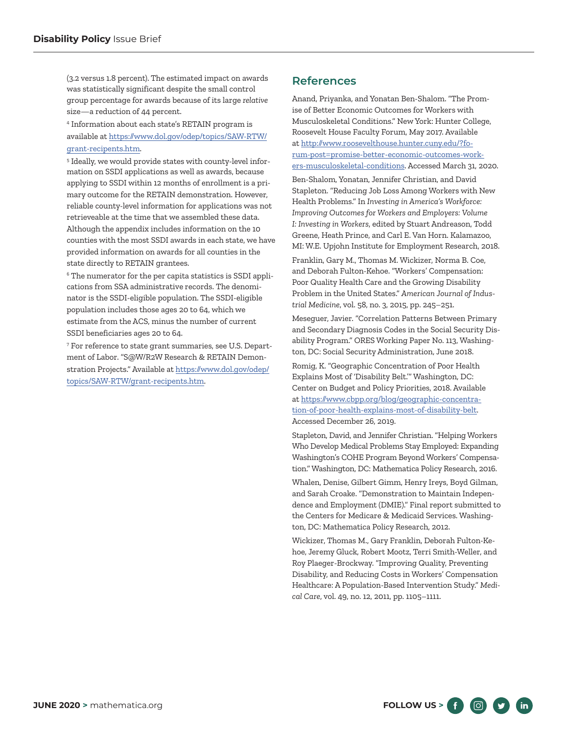<span id="page-10-0"></span>(3.2 versus 1.8 percent). The estimated impact on awards was statistically significant despite the small control group percentage for awards because of its large *relative* size—a reduction of 44 percent.

4 Information about each state's RETAIN program is available at [https://www.dol.gov/odep/topics/SAW-RTW/](https://www.dol.gov/odep/topics/SAW-RTW/grant-recipents.htm) [grant-recipents.htm.](https://www.dol.gov/odep/topics/SAW-RTW/grant-recipents.htm)

<sup>5</sup> Ideally, we would provide states with county-level information on SSDI applications as well as awards, because applying to SSDI within 12 months of enrollment is a pri mary outcome for the RETAIN demonstration. However, reliable county-level information for applications was not retrieveable at the time that we assembled these data. Although the appendix includes information on the 10 counties with the most SSDI awards in each state, we have provided information on awards for all counties in the state directly to RETAIN grantees.

 $6$  The numerator for the per capita statistics is SSDI applications from SSA administrative records. The denom i nator is the SSDI-eligible population. The SSDI-eligible population includes those ages 20 to 64, which we estimate from the ACS, minus the number of current SSDI beneficiaries ages 20 to 64.

<sup>7</sup> For reference to state grant summaries, see U.S. Department of Labor. "S@W/R2W Research & RETAIN Demon stration Projects." Available at [https://www.dol.gov/odep/](https://www.dol.gov/odep/topics/SAW-RTW/grant-recipents.htm) [topics/SAW-RTW/grant-recipents.htm.](https://www.dol.gov/odep/topics/SAW-RTW/grant-recipents.htm)

## **References**

Anand, Priyanka, and Yonatan Ben-Shalom. "The Promise of Better Economic Outcomes for Workers with Musculoskeletal Conditions." New York: Hunter College, Roosevelt House Faculty Forum, May 2017. Available at [http://www.roosevelthouse.hunter.cuny.edu/?fo](http://www.roosevelthouse.hunter.cuny.edu/?forum-post=promise-better-economic-outcomes-workers-musculoskeletal-conditions)[rum-post=promise-better-economic-outcomes-work](http://www.roosevelthouse.hunter.cuny.edu/?forum-post=promise-better-economic-outcomes-workers-musculoskeletal-conditions)[ers-musculoskeletal-conditions.](http://www.roosevelthouse.hunter.cuny.edu/?forum-post=promise-better-economic-outcomes-workers-musculoskeletal-conditions) Accessed March 31, 2020.

Ben-Shalom, Yonatan, Jennifer Christian, and David Stapleton. "Reducing Job Loss Among Workers with New Health Problems." In *Investing in America's Workforce: Improving Outcomes for Workers and Employers: Volume I: Investing in Workers*, edited by Stuart Andreason, Todd Greene, Heath Prince, and Carl E. Van Horn. Kalamazoo, MI: W.E. Upjohn Institute for Employment Research, 2018.

Franklin, Gary M., Thomas M. Wickizer, Norma B. Coe, and Deborah Fulton-Kehoe. "Workers' Compensation: Poor Quality Health Care and the Growing Disability Problem in the United States." *American Journal of Industrial Medicine*, vol. 58, no. 3, 2015, pp. 245–251.

Meseguer, Javier. "Correlation Patterns Between Primary and Secondary Diagnosis Codes in the Social Security Disability Program." ORES Working Paper No. 113, Washington, DC: Social Security Administration, June 2018.

Romig, K. "Geographic Concentration of Poor Health Explains Most of 'Disability Belt.'" Washington, DC: Center on Budget and Policy Priorities, 2018. Available at [https://www.cbpp.org/blog/geographic-concentra](https://www.cbpp.org/blog/geographic-concentration-of-poor-health-explains-most-of-disability-belt)[tion-of-poor-health-explains-most-of-disability-belt](https://www.cbpp.org/blog/geographic-concentration-of-poor-health-explains-most-of-disability-belt). Accessed December 26, 2019.

Stapleton, David, and Jennifer Christian. "Helping Workers Who Develop Medical Problems Stay Employed: Expanding Washington's COHE Program Beyond Workers' Compensation." Washington, DC: Mathematica Policy Research, 2016.

Whalen, Denise, Gilbert Gimm, Henry Ireys, Boyd Gilman, and Sarah Croake. "Demonstration to Maintain Independence and Employment (DMIE)." Final report submitted to the Centers for Medicare & Medicaid Services. Washington, DC: Mathematica Policy Research, 2012.

Wickizer, Thomas M., Gary Franklin, Deborah Fulton-Kehoe, Jeremy Gluck, Robert Mootz, Terri Smith-Weller, and Roy Plaeger-Brockway. "Improving Quality, Preventing Disability, and Reducing Costs in Workers' Compensation Healthcare: A Population-Based Intervention Study." *Medical Care*, vol. 49, no. 12, 2011, pp. 1105–1111.

**FOLLOW US >**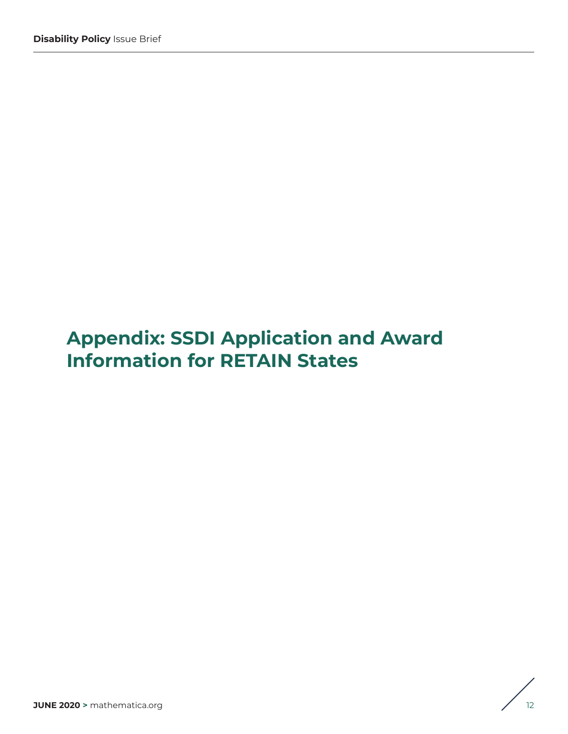# **Appendix: SSDI Application and Award Information for RETAIN States**

$$
\Bigg/ \Bigg|_{12}
$$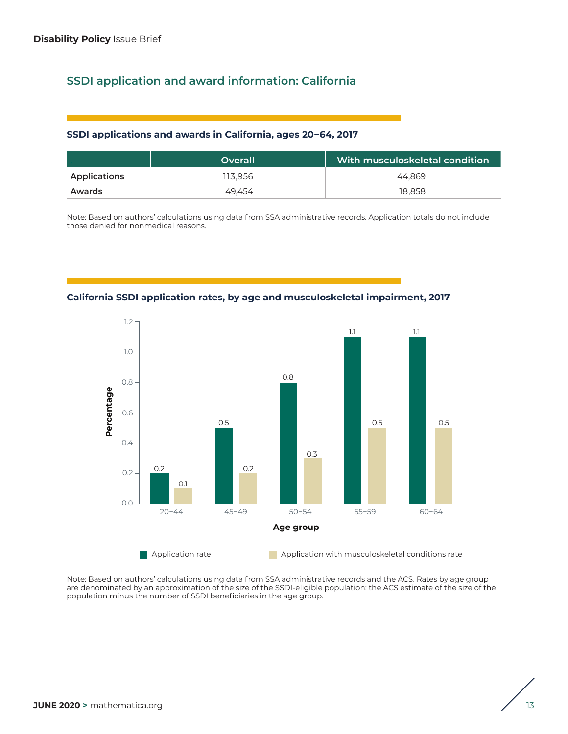# **SSDI application and award information: California**

## **SSDI applications and awards in California, ages 20−64, 2017**

|              | Overall | With musculoskeletal condition |
|--------------|---------|--------------------------------|
| Applications | 113.956 | 44.869                         |
| Awards       | 49.454  | 18.858                         |

Note: Based on authors' calculations using data from SSA administrative records. Application totals do not include those denied for nonmedical reasons.



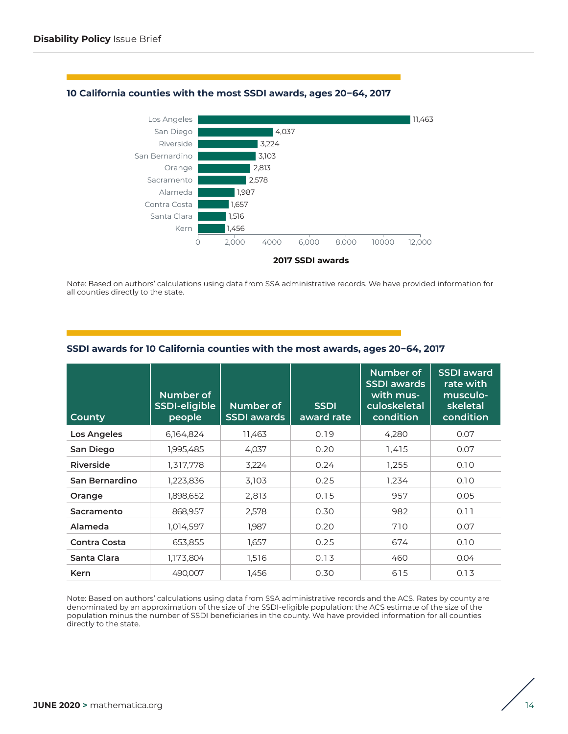

#### **10 California counties with the most SSDI awards, ages 20−64, 2017**

Note: Based on authors' calculations using data from SSA administrative records. We have provided information for all counties directly to the state.

| <b>County</b>       | Number of<br>SSDI-eligible<br>people | Number of<br><b>SSDI</b> awards | <b>SSDI</b><br>award rate | Number of<br><b>SSDI</b> awards<br>with mus-<br>culoskeletal<br>condition | <b>SSDI</b> award<br>rate with<br>musculo-<br>skeletal<br>condition |
|---------------------|--------------------------------------|---------------------------------|---------------------------|---------------------------------------------------------------------------|---------------------------------------------------------------------|
| <b>Los Angeles</b>  | 6,164,824                            | 11,463                          | 0.19                      | 4,280                                                                     | 0.07                                                                |
| San Diego           | 1,995,485                            | 4,037                           | 0.20                      | 1,415                                                                     | 0.07                                                                |
| Riverside           | 1,317,778                            | 3,224                           | 0.24                      | 1,255                                                                     | 0.10                                                                |
| San Bernardino      | 1,223,836                            | 3,103                           | 0.25                      | 1,234                                                                     | 0.10                                                                |
| Orange              | 1,898,652                            | 2,813                           | 0.15                      | 957                                                                       | 0.05                                                                |
| Sacramento          | 868,957                              | 2,578                           | 0.30                      | 982                                                                       | 0.11                                                                |
| Alameda             | 1,014,597                            | 1,987                           | 0.20                      | 710                                                                       | 0.07                                                                |
| <b>Contra Costa</b> | 653,855                              | 1,657                           | 0.25                      | 674                                                                       | 0.10                                                                |
| Santa Clara         | 1,173,804                            | 1,516                           | 0.13                      | 460                                                                       | 0.04                                                                |
| <b>Kern</b>         | 490,007                              | 1,456                           | 0.30                      | 615                                                                       | 0.13                                                                |

#### **SSDI awards for 10 California counties with the most awards, ages 20−64, 2017**

Note: Based on authors' calculations using data from SSA administrative records and the ACS. Rates by county are denominated by an approximation of the size of the SSDI-eligible population: the ACS estimate of the size of the population minus the number of SSDI beneficiaries in the county. We have provided information for all counties directly to the state.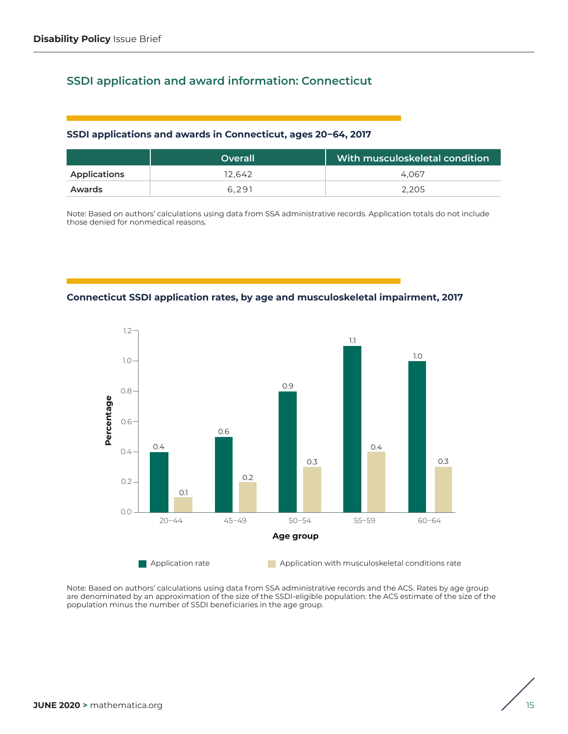# **SSDI application and award information: Connecticut**

#### **SSDI applications and awards in Connecticut, ages 20−64, 2017**

|              | Overall | With musculoskeletal condition |
|--------------|---------|--------------------------------|
| Applications | 12.642  | 4.067                          |
| Awards       | 6.291   | 2.205                          |

Note: Based on authors' calculations using data from SSA administrative records. Application totals do not include those denied for nonmedical reasons.





$$
\Bigg/ \Bigg. \Bigg|
$$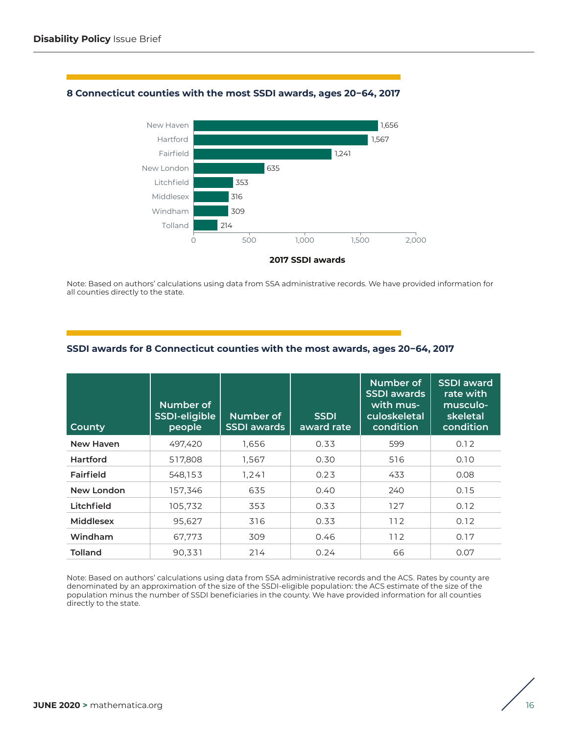#### **8 Connecticut counties with the most SSDI awards, ages 20−64, 2017**



Note: Based on authors' calculations using data from SSA administrative records. We have provided information for all counties directly to the state.

| County           | Number of<br>SSDI-eligible<br>people | Number of<br><b>SSDI</b> awards | <b>SSDI</b><br>award rate | Number of<br><b>SSDI</b> awards<br>with mus-<br>culoskeletal<br>condition | <b>SSDI</b> award<br>rate with<br>musculo-<br>skeletal<br>condition |
|------------------|--------------------------------------|---------------------------------|---------------------------|---------------------------------------------------------------------------|---------------------------------------------------------------------|
| New Haven        | 497,420                              | 1,656                           | 0.33                      | 599                                                                       | 0.12                                                                |
| Hartford         | 517,808                              | 1,567                           | 0.30                      | 516                                                                       | 0.10                                                                |
| Fairfield        | 548,153                              | 1.241                           | 0.23                      | 433                                                                       | 0.08                                                                |
| New London       | 157,346                              | 635                             | 0.40                      | 240                                                                       | 0.15                                                                |
| Litchfield       | 105,732                              | 353                             | 0.33                      | 127                                                                       | 0.12                                                                |
| <b>Middlesex</b> | 95,627                               | 316                             | 0.33                      | 112                                                                       | 0.12                                                                |
| Windham          | 67,773                               | 309                             | 0.46                      | 112                                                                       | 0.17                                                                |
| <b>Tolland</b>   | 90.331                               | 214                             | 0.24                      | 66                                                                        | 0.07                                                                |

## **SSDI awards for 8 Connecticut counties with the most awards, ages 20−64, 2017**

Note: Based on authors' calculations using data from SSA administrative records and the ACS. Rates by county are denominated by an approximation of the size of the SSDI-eligible population: the ACS estimate of the size of the population minus the number of SSDI beneficiaries in the county. We have provided information for all counties directly to the state.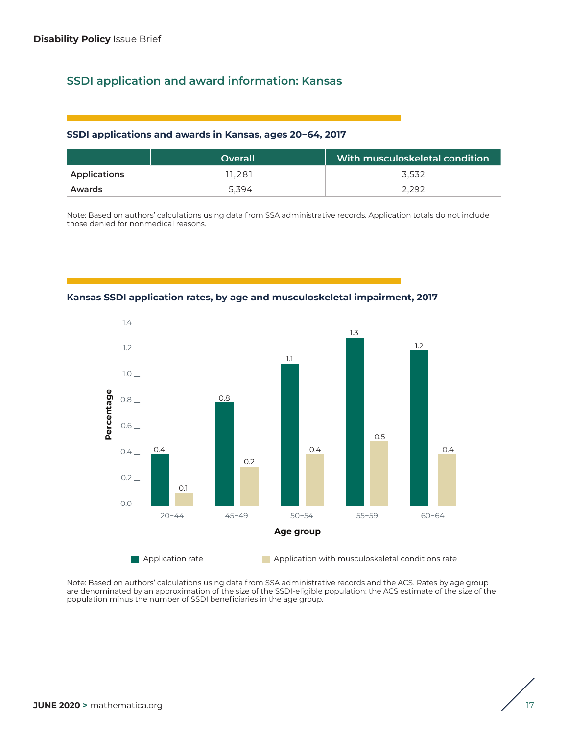# **SSDI application and award information: Kansas**

#### **SSDI applications and awards in Kansas, ages 20−64, 2017**

|              | <b>Overall</b> | With musculoskeletal condition |
|--------------|----------------|--------------------------------|
| Applications | 11.281         | 3.532                          |
| Awards       | 5.394          | 2.292                          |

Note: Based on authors' calculations using data from SSA administrative records. Application totals do not include those denied for nonmedical reasons.



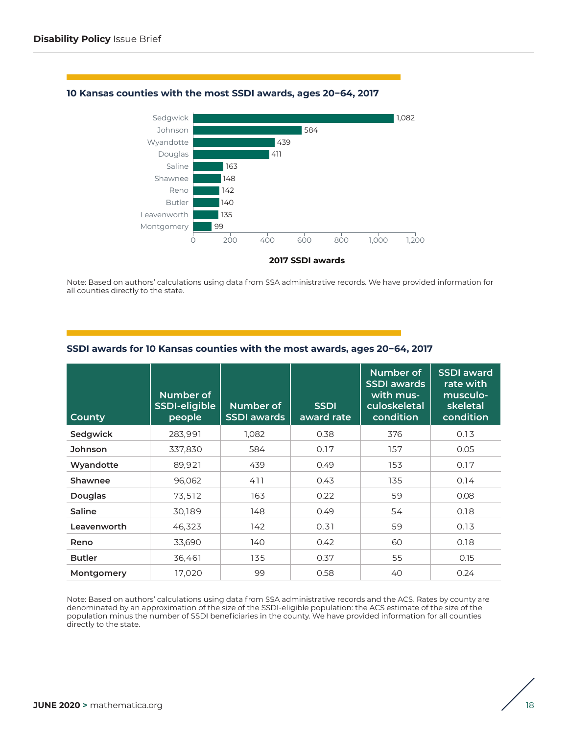

#### **10 Kansas counties with the most SSDI awards, ages 20−64, 2017**

Note: Based on authors' calculations using data from SSA administrative records. We have provided information for all counties directly to the state.

| <b>County</b>  | Number of<br>SSDI-eligible<br>people | Number of<br><b>SSDI</b> awards | <b>SSDI</b><br>award rate | Number of<br><b>SSDI awards</b><br>with mus-<br>culoskeletal<br>condition | <b>SSDI</b> award<br>rate with<br>musculo-<br>skeletal<br>condition |
|----------------|--------------------------------------|---------------------------------|---------------------------|---------------------------------------------------------------------------|---------------------------------------------------------------------|
| Sedgwick       | 283,991                              | 1.082                           | 0.38                      | 376                                                                       | 0.13                                                                |
| <b>Johnson</b> | 337,830                              | 584                             | 0.17                      | 157                                                                       | 0.05                                                                |
| Wyandotte      | 89,921                               | 439                             | 0.49                      | 153                                                                       | 0.17                                                                |
| Shawnee        | 96,062                               | 411                             | 0.43                      | 135                                                                       | 0.14                                                                |
| <b>Douglas</b> | 73,512                               | 163                             | 0.22                      | 59                                                                        | 0.08                                                                |
| Saline         | 30,189                               | 148                             | 0.49                      | 54                                                                        | 0.18                                                                |
| Leavenworth    | 46,323                               | 142                             | 0.31                      | 59                                                                        | 0.13                                                                |
| Reno           | 33,690                               | 140                             | 0.42                      | 60                                                                        | 0.18                                                                |
| <b>Butler</b>  | 36,461                               | 135                             | 0.37                      | 55                                                                        | 0.15                                                                |
| Montgomery     | 17,020                               | 99                              | 0.58                      | 40                                                                        | 0.24                                                                |

#### **SSDI awards for 10 Kansas counties with the most awards, ages 20−64, 2017**

Note: Based on authors' calculations using data from SSA administrative records and the ACS. Rates by county are denominated by an approximation of the size of the SSDI-eligible population: the ACS estimate of the size of the population minus the number of SSDI beneficiaries in the county. We have provided information for all counties directly to the state.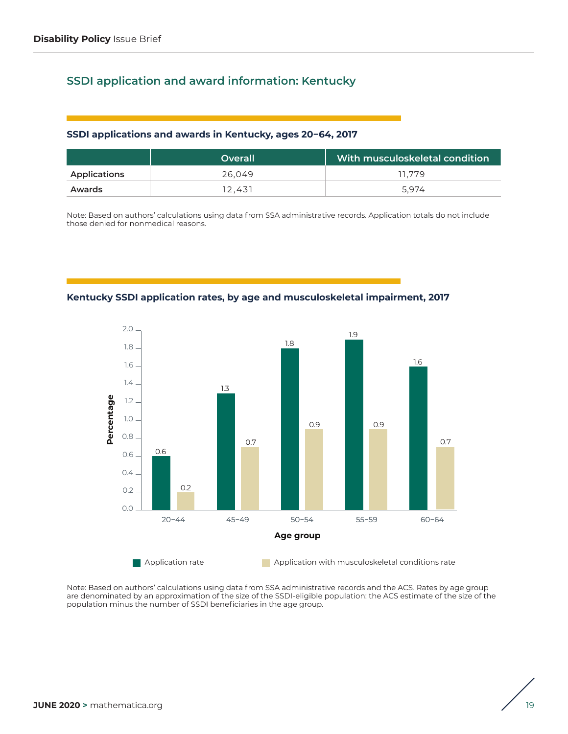# **SSDI application and award information: Kentucky**

#### **SSDI applications and awards in Kentucky, ages 20−64, 2017**

|              | Overall | With musculoskeletal condition |
|--------------|---------|--------------------------------|
| Applications | 26.049  | 11.779                         |
| Awards       | 12.431  | 5.974                          |

Note: Based on authors' calculations using data from SSA administrative records. Application totals do not include those denied for nonmedical reasons.





$$
\Bigg/ \Bigg|_{19}
$$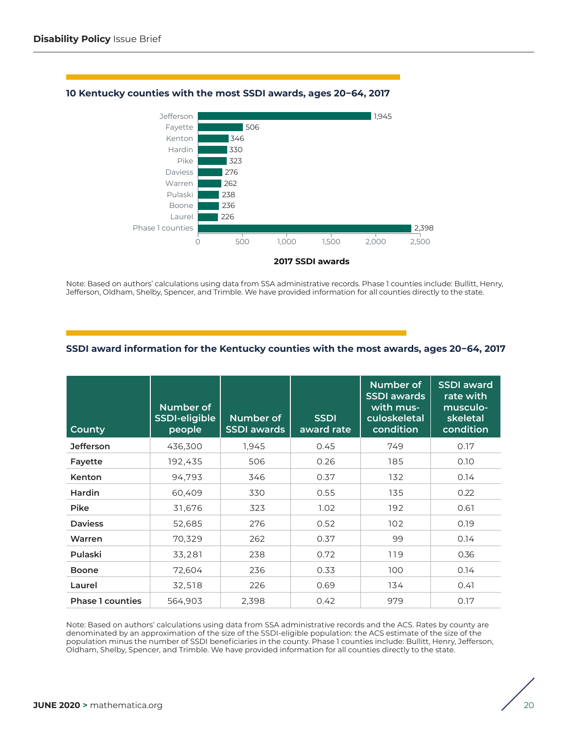

#### **10 Kentucky counties with the most SSDI awards, ages 20−64, 2017**

Note: Based on authors' calculations using data from SSA administrative records. Phase 1 counties include: Bullitt, Henry, Jefferson, Oldham, Shelby, Spencer, and Trimble. We have provided information for all counties directly to the state.

## **SSDI award information for the Kentucky counties with the most awards, ages 20−64, 2017**

| <b>County</b>           | Number of<br><b>SSDI-eligible</b><br>people | Number of<br><b>SSDI</b> awards | <b>SSDI</b><br>award rate | Number of<br><b>SSDI</b> awards<br>with mus-<br>culoskeletal<br>condition | <b>SSDI</b> award<br>rate with<br>musculo-<br>skeletal<br>condition |
|-------------------------|---------------------------------------------|---------------------------------|---------------------------|---------------------------------------------------------------------------|---------------------------------------------------------------------|
| <b>Jefferson</b>        | 436,300                                     | 1,945                           | 0.45                      | 749                                                                       | 0.17                                                                |
| Fayette                 | 192,435                                     | 506                             | 0.26                      | 185                                                                       | 0.10                                                                |
| Kenton                  | 94,793                                      | 346                             | 0.37                      | 132                                                                       | 0.14                                                                |
| Hardin                  | 60,409                                      | 330                             | 0.55                      | 135                                                                       | 0.22                                                                |
| <b>Pike</b>             | 31,676                                      | 323                             | 1.02                      | 192                                                                       | 0.61                                                                |
| <b>Daviess</b>          | 52,685                                      | 276                             | 0.52                      | 102                                                                       | 0.19                                                                |
| Warren                  | 70,329                                      | 262                             | 0.37                      | 99                                                                        | 0.14                                                                |
| Pulaski                 | 33,281                                      | 238                             | 0.72                      | 119                                                                       | 0.36                                                                |
| <b>Boone</b>            | 72,604                                      | 236                             | 0.33                      | 100                                                                       | 0.14                                                                |
| Laurel                  | 32,518                                      | 226                             | 0.69                      | 134                                                                       | 0.41                                                                |
| <b>Phase 1 counties</b> | 564,903                                     | 2,398                           | 0.42                      | 979                                                                       | 0.17                                                                |

Note: Based on authors' calculations using data from SSA administrative records and the ACS. Rates by county are denominated by an approximation of the size of the SSDI-eligible population: the ACS estimate of the size of the population minus the number of SSDI beneficiaries in the county. Phase 1 counties include: Bullitt, Henry, Jefferson, Oldham, Shelby, Spencer, and Trimble. We have provided information for all counties directly to the state.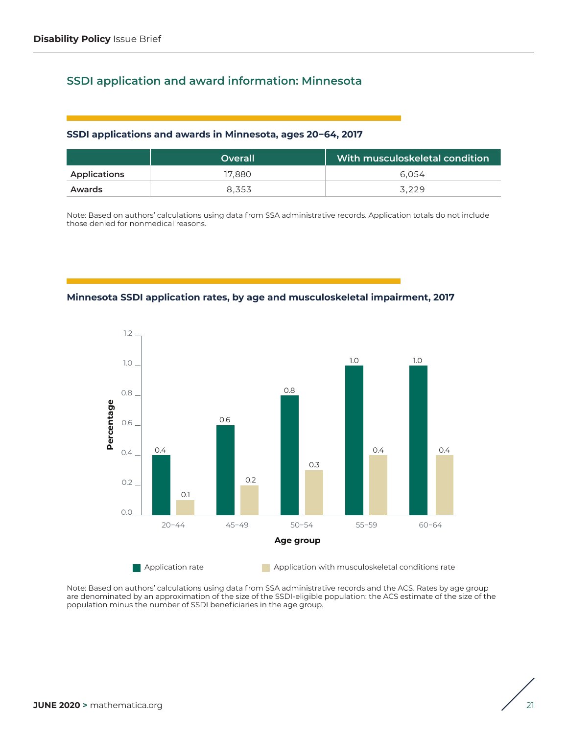# **SSDI application and award information: Minnesota**

#### **SSDI applications and awards in Minnesota, ages 20−64, 2017**

|              | <b>Overall</b> | With musculoskeletal condition |
|--------------|----------------|--------------------------------|
| Applications | 17.880         | 6.054                          |
| Awards       | 8.353          | 3.229                          |

Note: Based on authors' calculations using data from SSA administrative records. Application totals do not include those denied for nonmedical reasons.





$$
\Bigg/ \Bigg._{21}
$$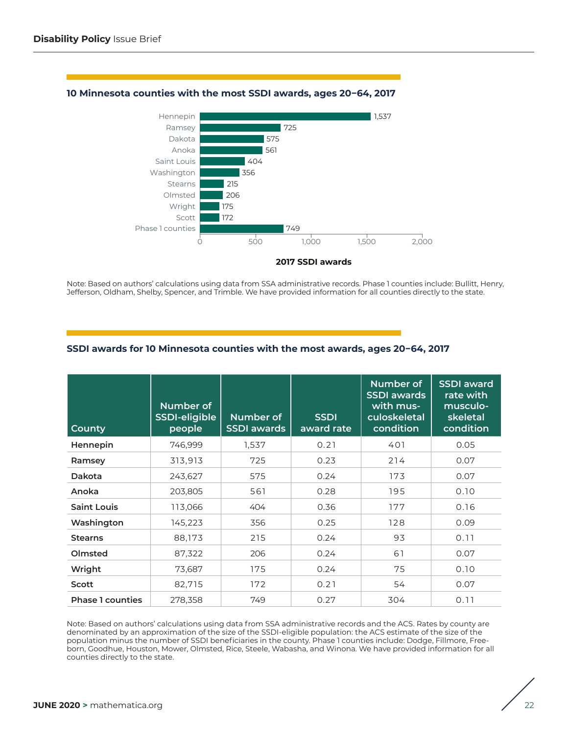

#### **10 Minnesota counties with the most SSDI awards, ages 20−64, 2017**

Note: Based on authors' calculations using data from SSA administrative records. Phase 1 counties include: Bullitt, Henry, Jefferson, Oldham, Shelby, Spencer, and Trimble. We have provided information for all counties directly to the state.

## **SSDI awards for 10 Minnesota counties with the most awards, ages 20−64, 2017**

| <b>County</b>           | Number of<br>SSDI-eligible<br>people | Number of<br><b>SSDI</b> awards | <b>SSDI</b><br>award rate | Number of<br><b>SSDI</b> awards<br>with mus-<br>culoskeletal<br>condition | <b>SSDI</b> award<br>rate with<br>musculo-<br>skeletal<br>condition |
|-------------------------|--------------------------------------|---------------------------------|---------------------------|---------------------------------------------------------------------------|---------------------------------------------------------------------|
| Hennepin                | 746,999                              | 1,537                           | 0.21                      | 401                                                                       | 0.05                                                                |
| Ramsey                  | 313,913                              | 725                             | 0.23                      | 214                                                                       | 0.07                                                                |
| Dakota                  | 243,627                              | 575                             | 0.24                      | 173                                                                       | 0.07                                                                |
| Anoka                   | 203,805                              | 561                             | 0.28                      | 195                                                                       | 0.10                                                                |
| <b>Saint Louis</b>      | 113,066                              | 404                             | 0.36                      | 177                                                                       | 0.16                                                                |
| Washington              | 145,223                              | 356                             | 0.25                      | 128                                                                       | 0.09                                                                |
| <b>Stearns</b>          | 88,173                               | 215                             | 0.24                      | 93                                                                        | 0.11                                                                |
| Olmsted                 | 87,322                               | 206                             | 0.24                      | 61                                                                        | 0.07                                                                |
| Wright                  | 73,687                               | 175                             | 0.24                      | 75                                                                        | 0.10                                                                |
| Scott                   | 82,715                               | 172                             | 0.21                      | 54                                                                        | 0.07                                                                |
| <b>Phase 1 counties</b> | 278,358                              | 749                             | 0.27                      | 304                                                                       | 0.11                                                                |

Note: Based on authors' calculations using data from SSA administrative records and the ACS. Rates by county are denominated by an approximation of the size of the SSDI-eligible population: the ACS estimate of the size of the population minus the number of SSDI beneficiaries in the county. Phase 1 counties include: Dodge, Fillmore, Freeborn, Goodhue, Houston, Mower, Olmsted, Rice, Steele, Wabasha, and Winona. We have provided information for all counties directly to the state.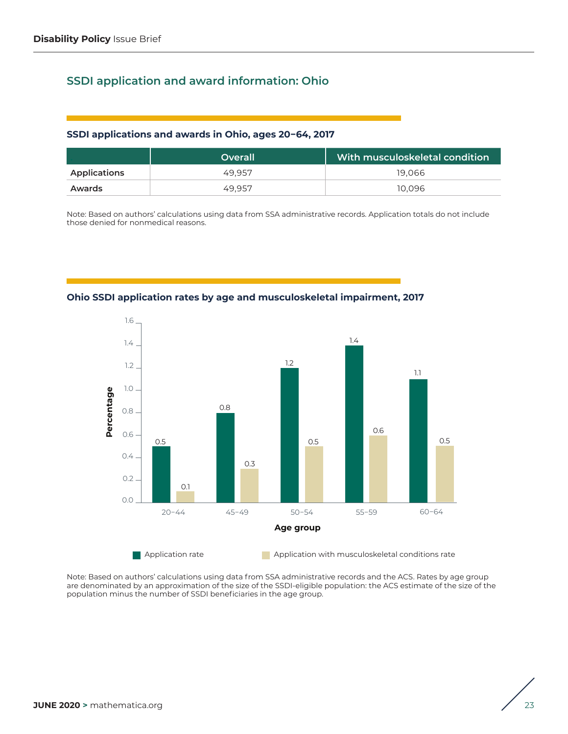## **SSDI application and award information: Ohio**

#### **SSDI applications and awards in Ohio, ages 20−64, 2017**

|              | Overall | With musculoskeletal condition |
|--------------|---------|--------------------------------|
| Applications | 49.957  | 19.066                         |
| Awards       | 49.957  | 10.096                         |

Note: Based on authors' calculations using data from SSA administrative records. Application totals do not include those denied for nonmedical reasons.



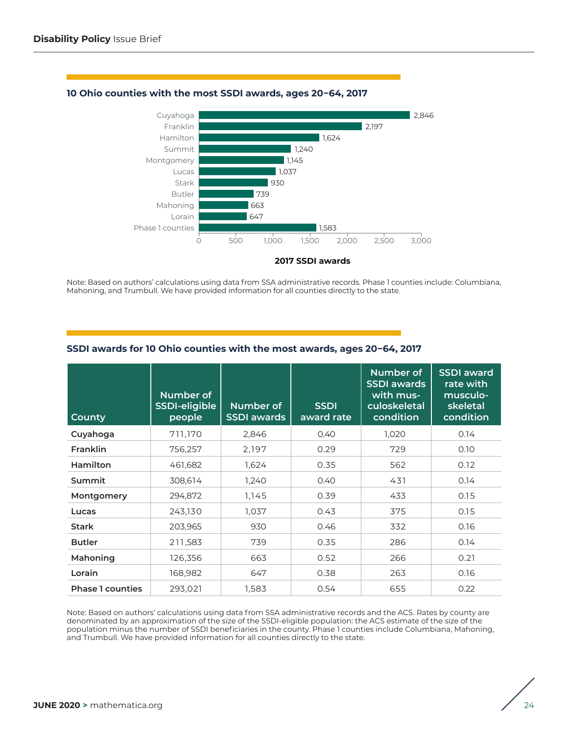

#### **10 Ohio counties with the most SSDI awards, ages 20−64, 2017**

Note: Based on authors' calculations using data from SSA administrative records. Phase 1 counties include: Columbiana, Mahoning, and Trumbull. We have provided information for all counties directly to the state.

| <b>County</b>           | <b>Number of</b><br><b>SSDI-eligible</b><br>people | Number of<br><b>SSDI</b> awards | <b>SSDI</b><br>award rate | Number of<br><b>SSDI</b> awards<br>with mus-<br>culoskeletal<br>condition | <b>SSDI</b> award<br>rate with<br>musculo-<br>skeletal<br>condition |
|-------------------------|----------------------------------------------------|---------------------------------|---------------------------|---------------------------------------------------------------------------|---------------------------------------------------------------------|
| Cuyahoga                | 711,170                                            | 2,846                           | 0.40                      | 1,020                                                                     | 0.14                                                                |
| Franklin                | 756,257                                            | 2,197                           | 0.29                      | 729                                                                       | 0.10                                                                |
| Hamilton                | 461,682                                            | 1,624                           | 0.35                      | 562                                                                       | 0.12                                                                |
| Summit                  | 308,614                                            | 1,240                           | 0.40                      | 431                                                                       | 0.14                                                                |
| Montgomery              | 294,872                                            | 1,145                           | 0.39                      | 433                                                                       | 0.15                                                                |
| Lucas                   | 243,130                                            | 1,037                           | 0.43                      | 375                                                                       | 0.15                                                                |
| <b>Stark</b>            | 203,965                                            | 930                             | 0.46                      | 332                                                                       | 0.16                                                                |
| <b>Butler</b>           | 211,583                                            | 739                             | 0.35                      | 286                                                                       | 0.14                                                                |
| Mahoning                | 126,356                                            | 663                             | 0.52                      | 266                                                                       | 0.21                                                                |
| Lorain                  | 168,982                                            | 647                             | 0.38                      | 263                                                                       | 0.16                                                                |
| <b>Phase 1 counties</b> | 293,021                                            | 1,583                           | 0.54                      | 655                                                                       | 0.22                                                                |

## **SSDI awards for 10 Ohio counties with the most awards, ages 20−64, 2017**

Note: Based on authors' calculations using data from SSA administrative records and the ACS. Rates by county are denominated by an approximation of the size of the SSDI-eligible population: the ACS estimate of the size of the population minus the number of SSDI beneficiaries in the county. Phase 1 counties include Columbiana, Mahoning, and Trumbull. We have provided information for all counties directly to the state.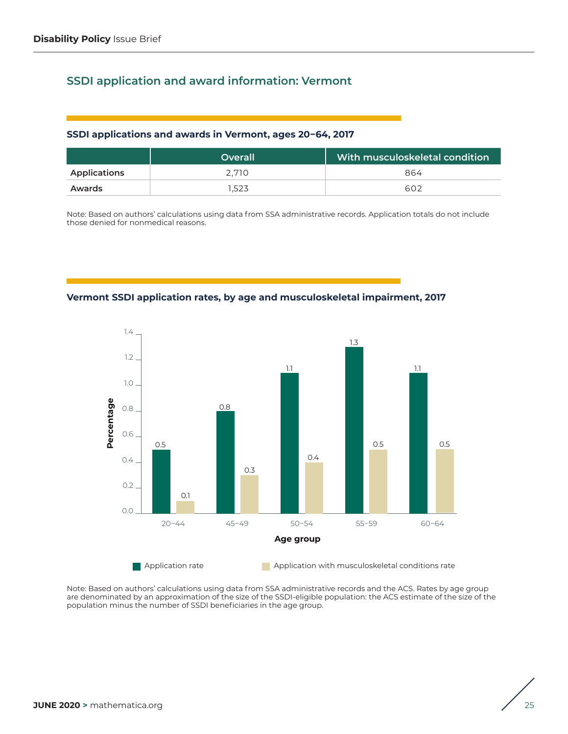# **SSDI application and award information: Vermont**

#### **SSDI applications and awards in Vermont, ages 20−64, 2017**

|                     | <b>Overall</b> | With musculoskeletal condition b |
|---------------------|----------------|----------------------------------|
| <b>Applications</b> | 2.710          | 864                              |
| Awards              | 1.523          | <b>602</b>                       |

Note: Based on authors' calculations using data from SSA administrative records. Application totals do not include those denied for nonmedical reasons.

**Vermont SSDI application rates, by age and musculoskeletal impairment, 2017**



$$
\Bigg/ \Bigg/_{25}
$$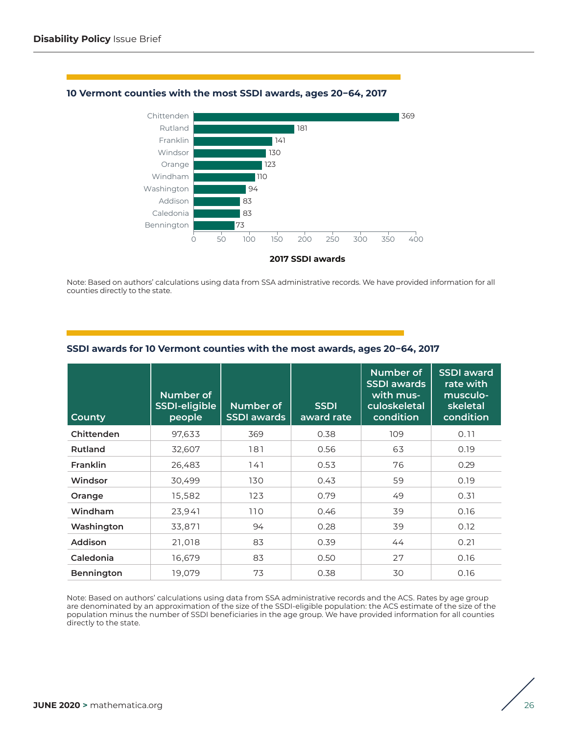

#### **10 Vermont counties with the most SSDI awards, ages 20−64, 2017**

Note: Based on authors' calculations using data from SSA administrative records. We have provided information for all counties directly to the state.

| <b>County</b>     | Number of<br>SSDI-eligible<br>people | Number of<br><b>SSDI</b> awards | <b>SSDI</b><br>award rate | Number of<br><b>SSDI</b> awards<br>with mus-<br>culoskeletal<br>condition | <b>SSDI</b> award<br>rate with<br>musculo-<br>skeletal<br>condition |
|-------------------|--------------------------------------|---------------------------------|---------------------------|---------------------------------------------------------------------------|---------------------------------------------------------------------|
| Chittenden        | 97,633                               | 369                             | 0.38                      | 109                                                                       | 0.11                                                                |
| Rutland           | 32,607                               | 181                             | 0.56                      | 63                                                                        | 0.19                                                                |
| Franklin          | 26,483                               | 141                             | 0.53                      | 76                                                                        | 0.29                                                                |
| Windsor           | 30,499                               | 130                             | 0.43                      | 59                                                                        | 0.19                                                                |
| Orange            | 15,582                               | 123                             | 0.79                      | 49                                                                        | 0.31                                                                |
| Windham           | 23,941                               | 110                             | 0.46                      | 39                                                                        | 0.16                                                                |
| Washington        | 33,871                               | 94                              | 0.28                      | 39                                                                        | 0.12                                                                |
| Addison           | 21,018                               | 83                              | 0.39                      | 44                                                                        | 0.21                                                                |
| Caledonia         | 16,679                               | 83                              | 0.50                      | 27                                                                        | 0.16                                                                |
| <b>Bennington</b> | 19,079                               | 73                              | 0.38                      | 30                                                                        | 0.16                                                                |

#### **SSDI awards for 10 Vermont counties with the most awards, ages 20−64, 2017**

Note: Based on authors' calculations using data from SSA administrative records and the ACS. Rates by age group are denominated by an approximation of the size of the SSDI-eligible population: the ACS estimate of the size of the population minus the number of SSDI beneficiaries in the age group. We have provided information for all counties directly to the state.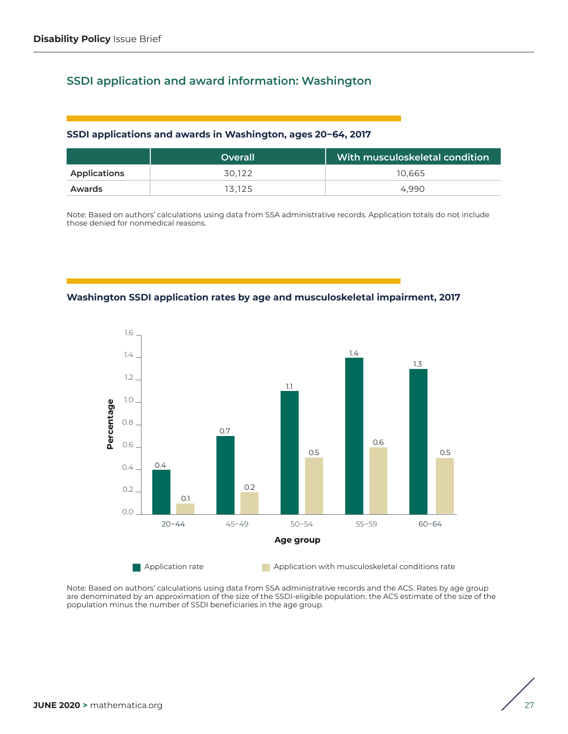# **SSDI application and award information: Washington**

#### **SSDI applications and awards in Washington, ages 20−64, 2017**

|              | Overall | With musculoskeletal condition |
|--------------|---------|--------------------------------|
| Applications | 30.122  | 10.665                         |
| Awards       | 13.125  | 4.990                          |

Note: Based on authors' calculations using data from SSA administrative records. Application totals do not include those denied for nonmedical reasons.

**Washington SSDI application rates by age and musculoskeletal impairment, 2017**